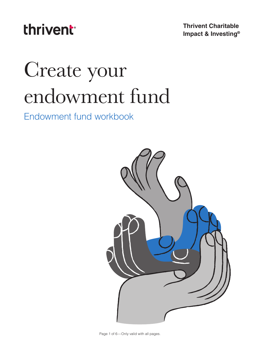thrivent

**Thrivent Charitable Impact & Investing®** 

# Create your endowment fund

Endowment fund workbook

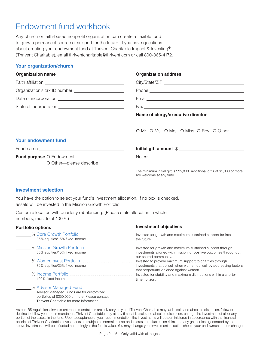## Endowment fund workbook

Any church or faith-based nonprofit organization can create a flexible fund to grow a permanent source of support for the future. If you have questions about creating your endowment fund at Thrivent Charitable Impact & Investing**®** (Thrivent Charitable), email thriventcharitable@thrivent.com or call 800-365-4172.

#### **Your organization/church**

| Organization name _____________________________     |                                                                                                                                                                                                                                |
|-----------------------------------------------------|--------------------------------------------------------------------------------------------------------------------------------------------------------------------------------------------------------------------------------|
|                                                     |                                                                                                                                                                                                                                |
|                                                     | Phone Lawrence and the contract of the contract of the contract of the contract of the contract of the contract of the contract of the contract of the contract of the contract of the contract of the contract of the contrac |
|                                                     |                                                                                                                                                                                                                                |
|                                                     |                                                                                                                                                                                                                                |
|                                                     | Name of clergy/executive director                                                                                                                                                                                              |
|                                                     | O Mr. O Ms. O Mrs. O Miss O Rev. O Other                                                                                                                                                                                       |
| <b>Your endowment fund</b>                          |                                                                                                                                                                                                                                |
|                                                     | Initial gift amount \$                                                                                                                                                                                                         |
| Fund purpose O Endowment<br>O Other-please describe |                                                                                                                                                                                                                                |

The minimum initial gift is \$25,000. Additional gifts of \$1,000 or more are welcome at any time.

#### **Investment selection**

You have the option to select your fund's investment allocation. If no box is checked, assets will be invested in the Mission Growth Portfolio.

Custom allocation with quarterly rebalancing. (Please state allocation in whole numbers; must total 100%.)

| <b>Portfolio options</b>                | <b>Investment objectives</b>                                                                                                                                             |
|-----------------------------------------|--------------------------------------------------------------------------------------------------------------------------------------------------------------------------|
| 85% equities/15% fixed income           | Invested for growth and maximum sustained support far into<br>the future.                                                                                                |
| 85% equities/15% fixed income           | Invested for growth and maximum sustained support through<br>investments aligned with mission for positive outcomes throughout<br>our shared community.                  |
| 75% equities/25% fixed income           | Invested to provide maximum support to charities through<br>investments that do well when women do well by addressing factors<br>that perpetuate violence against women. |
| % Income Portfolio<br>100% fixed income | Invested for stability and maximum distributions within a shorter<br>time horizon.                                                                                       |
| % Advisor Managed Fund                  |                                                                                                                                                                          |

Advisor Managed Funds are for customized portfolios of \$250,000 or more. Please contact Thrivent Charitable for more information.

As per IRS regulations, investment recommendations are advisory only and Thrivent Charitable may, at its sole and absolute discretion, follow or decline to follow your recommendation. Thrivent Charitable may at any time, at its sole and absolute discretion, change the investment of all or any portion of the assets in the fund. Upon acceptance of your recommendation, the investments will be administered in accordance with the financial policies of Thrivent Charitable. Investments are subject to normal market and interest rate fluctuation risks, and any gain or loss generated by the above investments will be reflected accordingly in the fund's value. You may change your investment selection should your endowment needs change.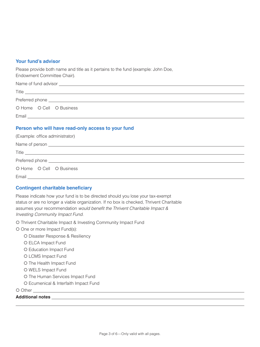#### **Your fund's advisor**

Please provide both name and title as it pertains to the fund (example: John Doe, Endowment Committee Chair).

| O Home O Cell O Business |
|--------------------------|
|                          |

#### **Person who will have read-only access to your fund**

| (Example: office administrator)                                                                                                                                                                                                      |
|--------------------------------------------------------------------------------------------------------------------------------------------------------------------------------------------------------------------------------------|
| Name of person <u>example and the set of the set of the set of the set of the set of the set of the set of the set of the set of the set of the set of the set of the set of the set of the set of the set of the set of the set</u> |
| Title <u>supplementary and the second contract of the second contract of the second contract of the second contract of the second contract of the second contract of the second contract of the second contract of the second co</u> |
|                                                                                                                                                                                                                                      |
| O Home O Cell O Business                                                                                                                                                                                                             |
|                                                                                                                                                                                                                                      |

#### **Contingent charitable beneficiary**

Please indicate how your fund is to be directed should you lose your tax-exempt status or are no longer a viable organization. If no box is checked, Thrivent Charitable assumes your recommendation *would benefit the Thrivent Charitable Impact & Investing Community Impact Fund.*

O Thrivent Charitable Impact & Investing Community Impact Fund

O One or more Impact Fund(s):

- Disaster Response & Resiliency
- O ELCA Impact Fund
- O Education Impact Fund
- O LCMS Impact Fund
- O The Health Impact Fund
- O WELS Impact Fund
- O The Human Services Impact Fund
- Ecumenical & Interfaith Impact Fund

O Other

#### **Additional notes**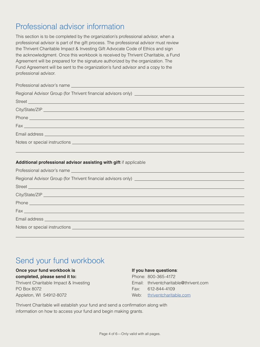## Professional advisor information

This section is to be completed by the organization's professional advisor, when a professional advisor is part of the gift process. The professional advisor must review the Thrivent Charitable Impact & Investing Gift Advocate Code of Ethics and sign the acknowledgment. Once this workbook is received by Thrivent Charitable, a Fund Agreement will be prepared for the signature authorized by the organization. The Fund Agreement will be sent to the organization's fund advisor and a copy to the professional advisor.

#### **Additional professional advisor assisting with gift** if applicable

| Regional Advisor Group (for Thrivent financial advisors only) [2012] [2012] [2012] [2012] [2012] [2012] [2012] [                                                                                                               |
|--------------------------------------------------------------------------------------------------------------------------------------------------------------------------------------------------------------------------------|
| Street Lawrence and Contract Contract Contract Contract Contract Contract Contract Contract Contract Contract Contract Contract Contract Contract Contract Contract Contract Contract Contract Contract Contract Contract Cont |
|                                                                                                                                                                                                                                |
|                                                                                                                                                                                                                                |
|                                                                                                                                                                                                                                |
|                                                                                                                                                                                                                                |
|                                                                                                                                                                                                                                |
|                                                                                                                                                                                                                                |

## Send your fund workbook

#### **Once your fund workbook is**

**completed, please send it to:** Thrivent Charitable Impact & Investing PO Box 8072 Appleton, WI 54912-8072

#### **If you have questions**:

Phone: 800-365-4172 Email: thriventcharitable@thrivent.com Fax: 612-844-4109 Web: [thriventcharitable.com](https://www.thriventcharitable.com/)

Thrivent Charitable will establish your fund and send a confirmation along with information on how to access your fund and begin making grants.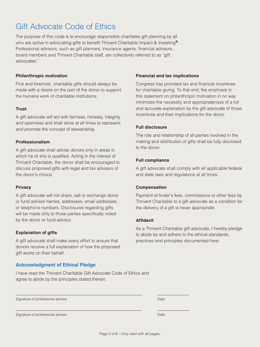## Gift Advocate Code of Ethics

The purpose of this code is to encourage responsible charitable gift planning by all who are active in advocating gifts to benefit Thrivent Charitable Impact & Investing**®**. Professional advisors, such as gift planners, insurance agents, financial advisors, board members and Thrivent Charitable staff, are collectively referred to as "gift advocates."

#### **Philanthropic motivation**

First and foremost, charitable gifts should always be made with a desire on the part of the donor to support the humane work of charitable institutions.

#### **Trust**

A gift advocate will act with fairness, honesty, integrity and openness and shall strive at all times to represent and promote the concept of stewardship.

#### **Professionalism**

A gift advocate shall advise donors only in areas in which he or she is qualified. Acting in the interest of Thrivent Charitable, the donor shall be encouraged to discuss proposed gifts with legal and tax advisors of the donor's choice.

#### **Privacy**

A gift advocate will not share, sell or exchange donor or fund advisor names, addresses, email addresses or telephone numbers. Disclosures regarding gifts will be made only to those parties specifically noted by the donor or fund advisor.

#### **Explanation of gifts**

A gift advocate shall make every effort to ensure that donors receive a full explanation of how the proposed gift works on their behalf.

#### **Acknowledgment of Ethical Pledge**

I have read the Thrivent Charitable Gift Advocate Code of Ethics and agree to abide by the principles stated therein.

Signature of professional advisor Date

 $\overline{a}$ 

 $\overline{a}$ 

Signature of professional advisor Date Date Control of the United States of Date Date Date Date Date Date Date

#### **Financial and tax implications**

Congress has provided tax and financial incentives for charitable giving. To that end, the emphasis in this statement on philanthropic motivation in no way minimizes the necessity and appropriateness of a full and accurate explanation by the gift advocate of those incentives and their implications for the donor.

#### **Full disclosure**

The role and relationship of all parties involved in the making and distribution of gifts shall be fully disclosed to the donor.

#### **Full compliance**

A gift advocate shall comply with all applicable federal and state laws and regulations at all times.

#### **Compensation**

Payment of finder's fees, commissions or other fees by Thrivent Charitable to a gift advocate as a condition for the delivery of a gift is never appropriate.

#### **Affidavit**

As a Thrivent Charitable gift advocate, I hereby pledge to abide by and adhere to the ethical standards, practices and principles documented here.